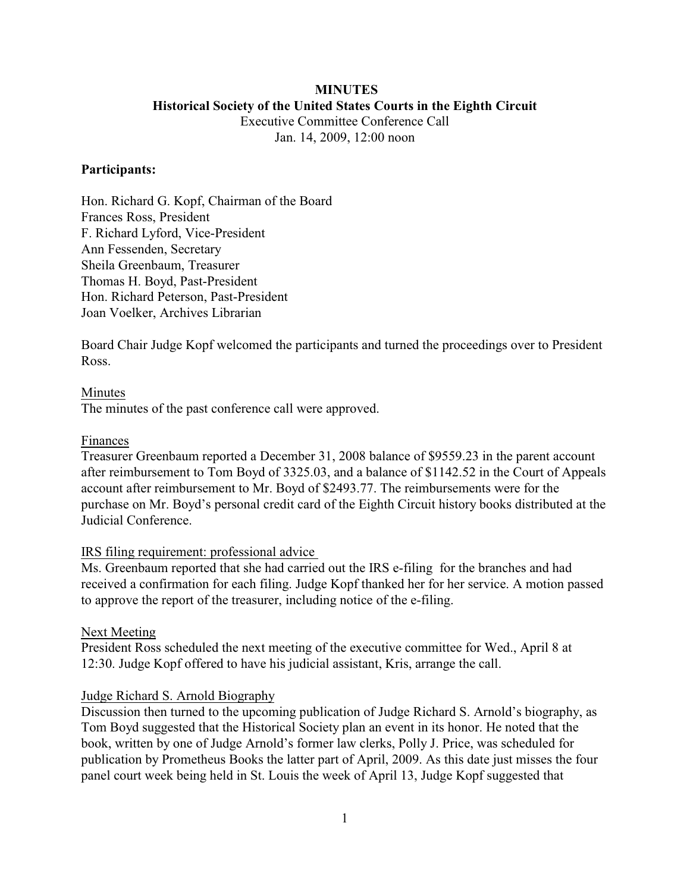# **MINUTES Historical Society of the United States Courts in the Eighth Circuit**

Executive Committee Conference Call Jan. 14, 2009, 12:00 noon

### **Participants:**

Hon. Richard G. Kopf, Chairman of the Board Frances Ross, President F. Richard Lyford, Vice-President Ann Fessenden, Secretary Sheila Greenbaum, Treasurer Thomas H. Boyd, Past-President Hon. Richard Peterson, Past-President Joan Voelker, Archives Librarian

Board Chair Judge Kopf welcomed the participants and turned the proceedings over to President Ross.

## Minutes

The minutes of the past conference call were approved.

### Finances

Treasurer Greenbaum reported a December 31, 2008 balance of \$9559.23 in the parent account after reimbursement to Tom Boyd of 3325.03, and a balance of \$1142.52 in the Court of Appeals account after reimbursement to Mr. Boyd of \$2493.77. The reimbursements were for the purchase on Mr. Boyd's personal credit card of the Eighth Circuit history books distributed at the Judicial Conference.

#### IRS filing requirement: professional advice

Ms. Greenbaum reported that she had carried out the IRS e-filing for the branches and had received a confirmation for each filing. Judge Kopf thanked her for her service. A motion passed to approve the report of the treasurer, including notice of the e-filing.

# Next Meeting

President Ross scheduled the next meeting of the executive committee for Wed., April 8 at 12:30. Judge Kopf offered to have his judicial assistant, Kris, arrange the call.

#### Judge Richard S. Arnold Biography

Discussion then turned to the upcoming publication of Judge Richard S. Arnold's biography, as Tom Boyd suggested that the Historical Society plan an event in its honor. He noted that the book, written by one of Judge Arnold's former law clerks, Polly J. Price, was scheduled for publication by Prometheus Books the latter part of April, 2009. As this date just misses the four panel court week being held in St. Louis the week of April 13, Judge Kopf suggested that